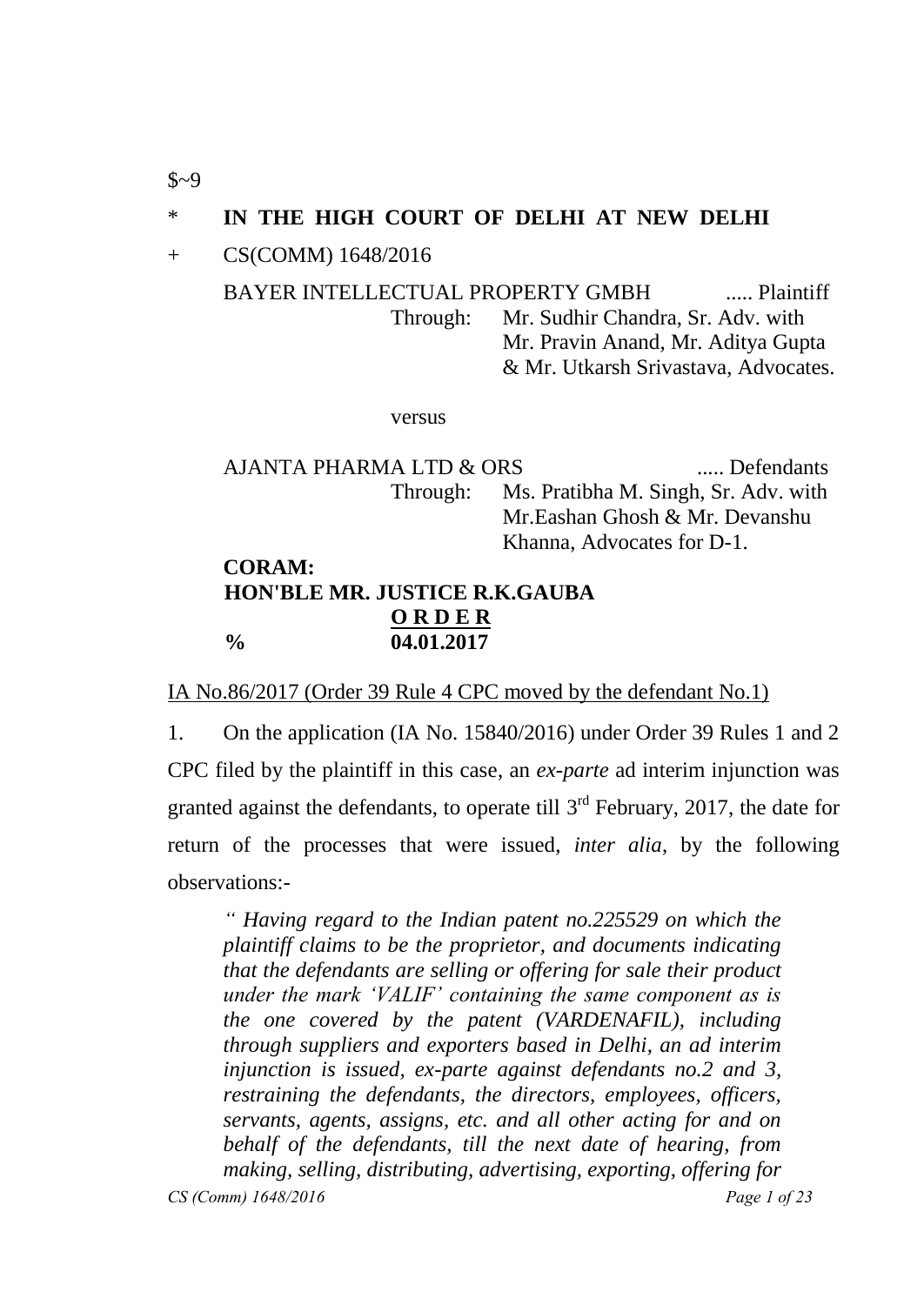## \* **IN THE HIGH COURT OF DELHI AT NEW DELHI**

+ CS(COMM) 1648/2016

BAYER INTELLECTUAL PROPERTY GMBH ..... Plaintiff Through: Mr. Sudhir Chandra, Sr. Adv. with Mr. Pravin Anand, Mr. Aditya Gupta & Mr. Utkarsh Srivastava, Advocates.

versus

AJANTA PHARMA LTD & ORS ...... Defendants Through: Ms. Pratibha M. Singh, Sr. Adv. with Mr.Eashan Ghosh & Mr. Devanshu Khanna, Advocates for D-1. **CORAM:**

## **HON'BLE MR. JUSTICE R.K.GAUBA O R D E R % 04.01.2017**

IA No.86/2017 (Order 39 Rule 4 CPC moved by the defendant No.1)

1. On the application (IA No. 15840/2016) under Order 39 Rules 1 and 2 CPC filed by the plaintiff in this case, an *ex-parte* ad interim injunction was granted against the defendants, to operate till  $3<sup>rd</sup>$  February, 2017, the date for return of the processes that were issued, *inter alia*, by the following observations:-

*CS (Comm) 1648/2016 Page 1 of 23 " Having regard to the Indian patent no.225529 on which the plaintiff claims to be the proprietor, and documents indicating that the defendants are selling or offering for sale their product under the mark "VALIF" containing the same component as is the one covered by the patent (VARDENAFIL), including through suppliers and exporters based in Delhi, an ad interim injunction is issued, ex-parte against defendants no.2 and 3, restraining the defendants, the directors, employees, officers, servants, agents, assigns, etc. and all other acting for and on behalf of the defendants, till the next date of hearing, from making, selling, distributing, advertising, exporting, offering for* 

 $$~9$$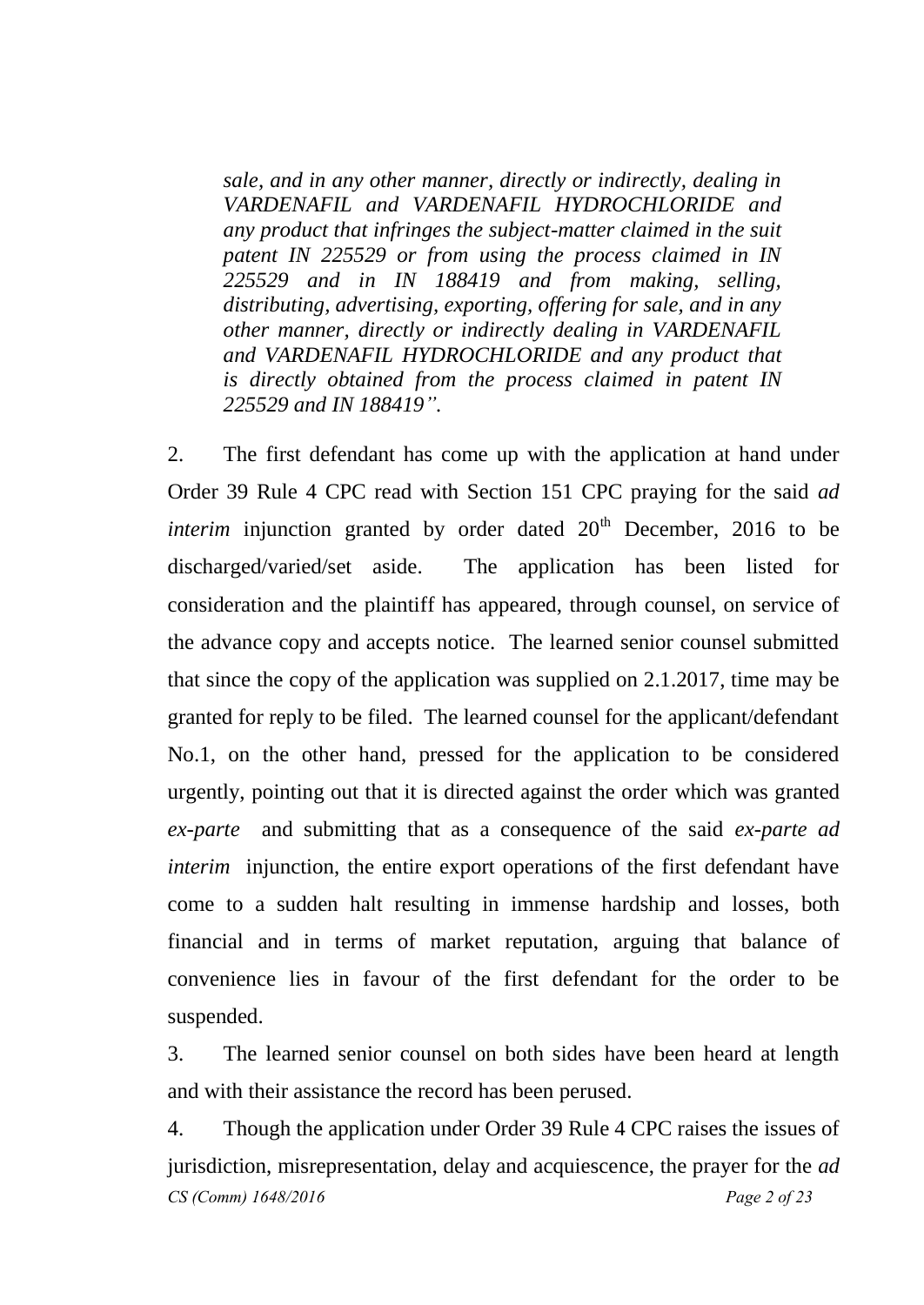*sale, and in any other manner, directly or indirectly, dealing in VARDENAFIL and VARDENAFIL HYDROCHLORIDE and any product that infringes the subject-matter claimed in the suit patent IN 225529 or from using the process claimed in IN 225529 and in IN 188419 and from making, selling, distributing, advertising, exporting, offering for sale, and in any other manner, directly or indirectly dealing in VARDENAFIL and VARDENAFIL HYDROCHLORIDE and any product that is directly obtained from the process claimed in patent IN 225529 and IN 188419".* 

2. The first defendant has come up with the application at hand under Order 39 Rule 4 CPC read with Section 151 CPC praying for the said *ad interim* injunction granted by order dated  $20<sup>th</sup>$  December, 2016 to be discharged/varied/set aside. The application has been listed for consideration and the plaintiff has appeared, through counsel, on service of the advance copy and accepts notice. The learned senior counsel submitted that since the copy of the application was supplied on 2.1.2017, time may be granted for reply to be filed. The learned counsel for the applicant/defendant No.1, on the other hand, pressed for the application to be considered urgently, pointing out that it is directed against the order which was granted *ex-parte* and submitting that as a consequence of the said *ex-parte ad interim* injunction, the entire export operations of the first defendant have come to a sudden halt resulting in immense hardship and losses, both financial and in terms of market reputation, arguing that balance of convenience lies in favour of the first defendant for the order to be suspended.

3. The learned senior counsel on both sides have been heard at length and with their assistance the record has been perused.

*CS (Comm) 1648/2016 Page 2 of 23* 4. Though the application under Order 39 Rule 4 CPC raises the issues of jurisdiction, misrepresentation, delay and acquiescence, the prayer for the *ad*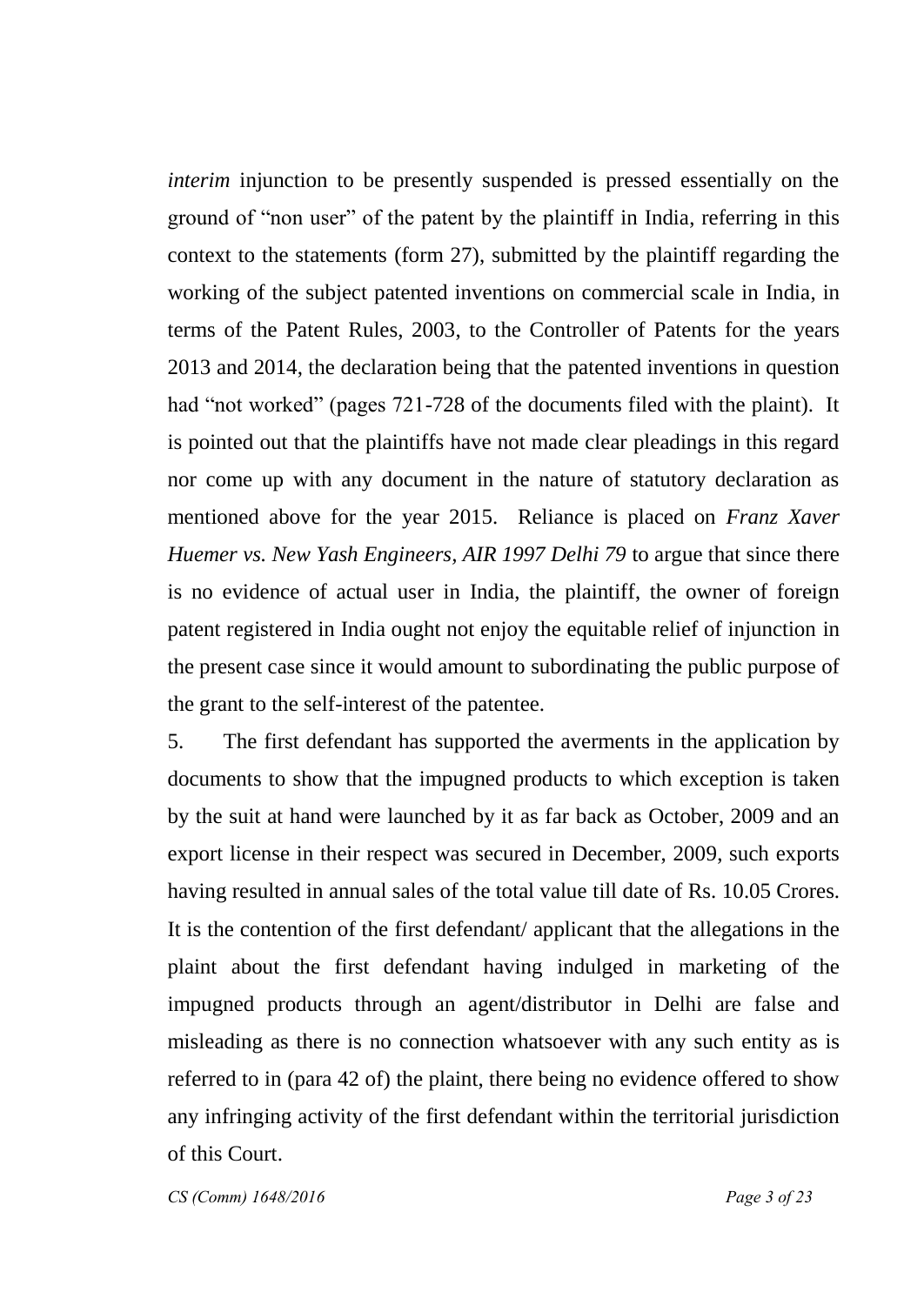*interim* injunction to be presently suspended is pressed essentially on the ground of "non user" of the patent by the plaintiff in India, referring in this context to the statements (form 27), submitted by the plaintiff regarding the working of the subject patented inventions on commercial scale in India, in terms of the Patent Rules, 2003, to the Controller of Patents for the years 2013 and 2014, the declaration being that the patented inventions in question had "not worked" (pages 721-728 of the documents filed with the plaint). It is pointed out that the plaintiffs have not made clear pleadings in this regard nor come up with any document in the nature of statutory declaration as mentioned above for the year 2015. Reliance is placed on *Franz Xaver Huemer vs. New Yash Engineers, AIR 1997 Delhi 79* to argue that since there is no evidence of actual user in India, the plaintiff, the owner of foreign patent registered in India ought not enjoy the equitable relief of injunction in the present case since it would amount to subordinating the public purpose of the grant to the self-interest of the patentee.

5. The first defendant has supported the averments in the application by documents to show that the impugned products to which exception is taken by the suit at hand were launched by it as far back as October, 2009 and an export license in their respect was secured in December, 2009, such exports having resulted in annual sales of the total value till date of Rs. 10.05 Crores. It is the contention of the first defendant/ applicant that the allegations in the plaint about the first defendant having indulged in marketing of the impugned products through an agent/distributor in Delhi are false and misleading as there is no connection whatsoever with any such entity as is referred to in (para 42 of) the plaint, there being no evidence offered to show any infringing activity of the first defendant within the territorial jurisdiction of this Court.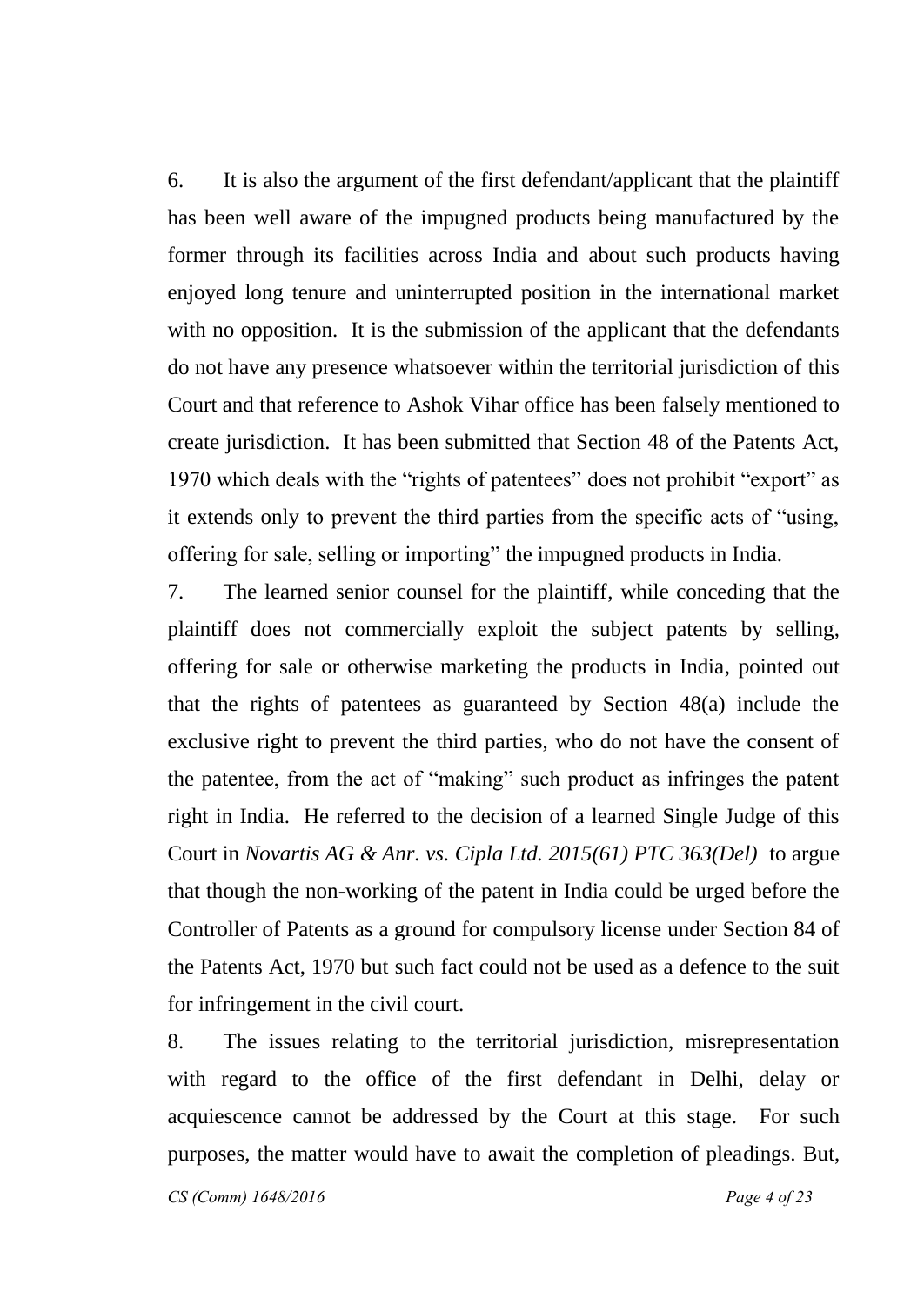6. It is also the argument of the first defendant/applicant that the plaintiff has been well aware of the impugned products being manufactured by the former through its facilities across India and about such products having enjoyed long tenure and uninterrupted position in the international market with no opposition. It is the submission of the applicant that the defendants do not have any presence whatsoever within the territorial jurisdiction of this Court and that reference to Ashok Vihar office has been falsely mentioned to create jurisdiction. It has been submitted that Section 48 of the Patents Act, 1970 which deals with the "rights of patentees" does not prohibit "export" as it extends only to prevent the third parties from the specific acts of "using, offering for sale, selling or importing" the impugned products in India.

7. The learned senior counsel for the plaintiff, while conceding that the plaintiff does not commercially exploit the subject patents by selling, offering for sale or otherwise marketing the products in India, pointed out that the rights of patentees as guaranteed by Section 48(a) include the exclusive right to prevent the third parties, who do not have the consent of the patentee, from the act of "making" such product as infringes the patent right in India. He referred to the decision of a learned Single Judge of this Court in *Novartis AG & Anr. vs. Cipla Ltd. 2015(61) PTC 363(Del)* to argue that though the non-working of the patent in India could be urged before the Controller of Patents as a ground for compulsory license under Section 84 of the Patents Act, 1970 but such fact could not be used as a defence to the suit for infringement in the civil court.

8. The issues relating to the territorial jurisdiction, misrepresentation with regard to the office of the first defendant in Delhi, delay or acquiescence cannot be addressed by the Court at this stage. For such purposes, the matter would have to await the completion of pleadings. But,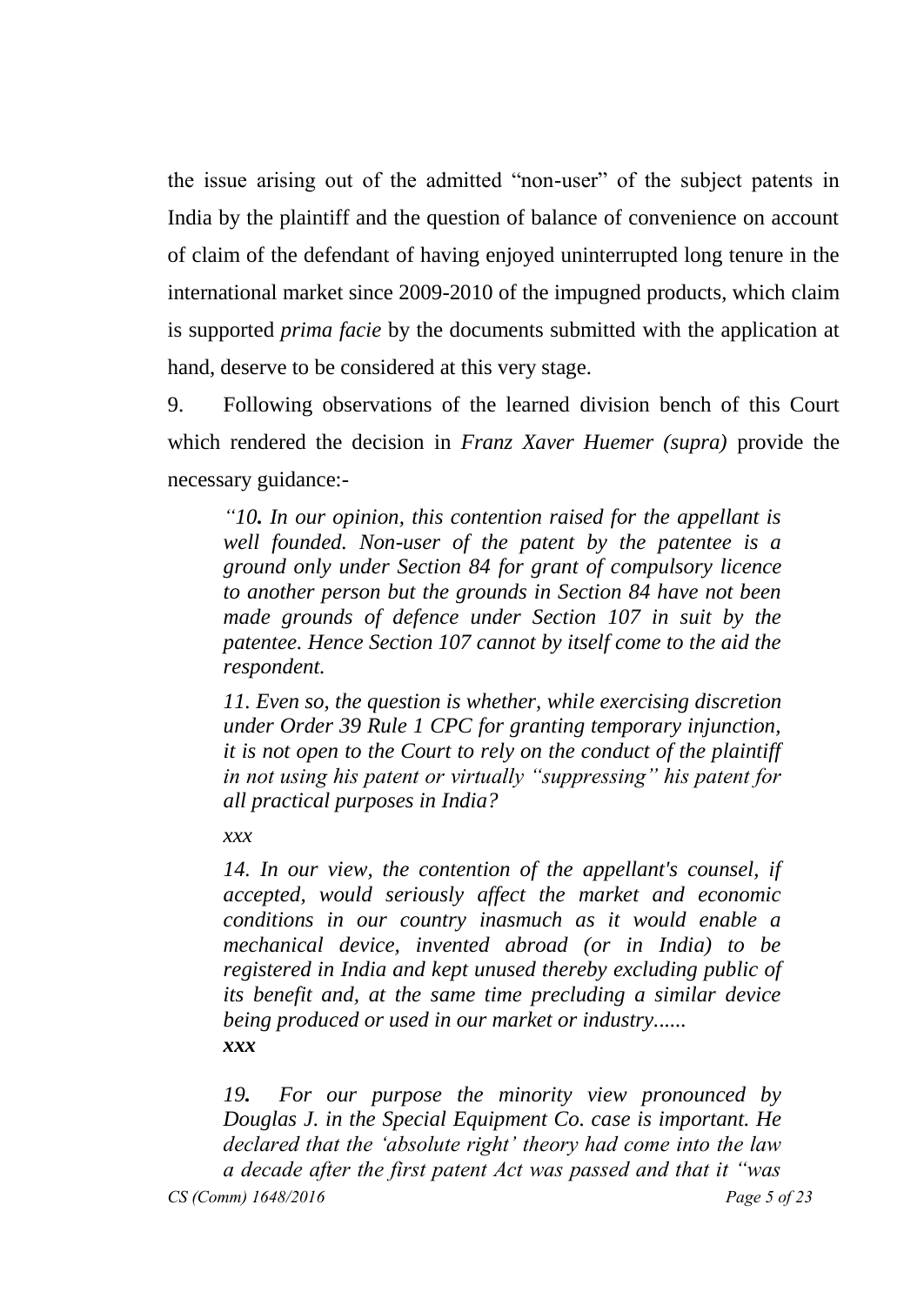the issue arising out of the admitted "non-user" of the subject patents in India by the plaintiff and the question of balance of convenience on account of claim of the defendant of having enjoyed uninterrupted long tenure in the international market since 2009-2010 of the impugned products, which claim is supported *prima facie* by the documents submitted with the application at hand, deserve to be considered at this very stage.

9. Following observations of the learned division bench of this Court which rendered the decision in *Franz Xaver Huemer (supra)* provide the necessary guidance:-

*"10. In our opinion, this contention raised for the appellant is well founded. Non-user of the patent by the patentee is a ground only under Section 84 for grant of compulsory licence to another person but the grounds in Section 84 have not been made grounds of defence under Section 107 in suit by the patentee. Hence Section 107 cannot by itself come to the aid the respondent.*

*11. Even so, the question is whether, while exercising discretion under Order 39 Rule 1 CPC for granting temporary injunction, it is not open to the Court to rely on the conduct of the plaintiff in not using his patent or virtually "suppressing" his patent for all practical purposes in India?*

*xxx*

*14. In our view, the contention of the appellant's counsel, if accepted, would seriously affect the market and economic conditions in our country inasmuch as it would enable a mechanical device, invented abroad (or in India) to be registered in India and kept unused thereby excluding public of its benefit and, at the same time precluding a similar device being produced or used in our market or industry...... xxx*

*19. For our purpose the minority view pronounced by Douglas J. in the Special Equipment Co. case is important. He declared that the "absolute right" theory had come into the law a decade after the first patent Act was passed and that it "was*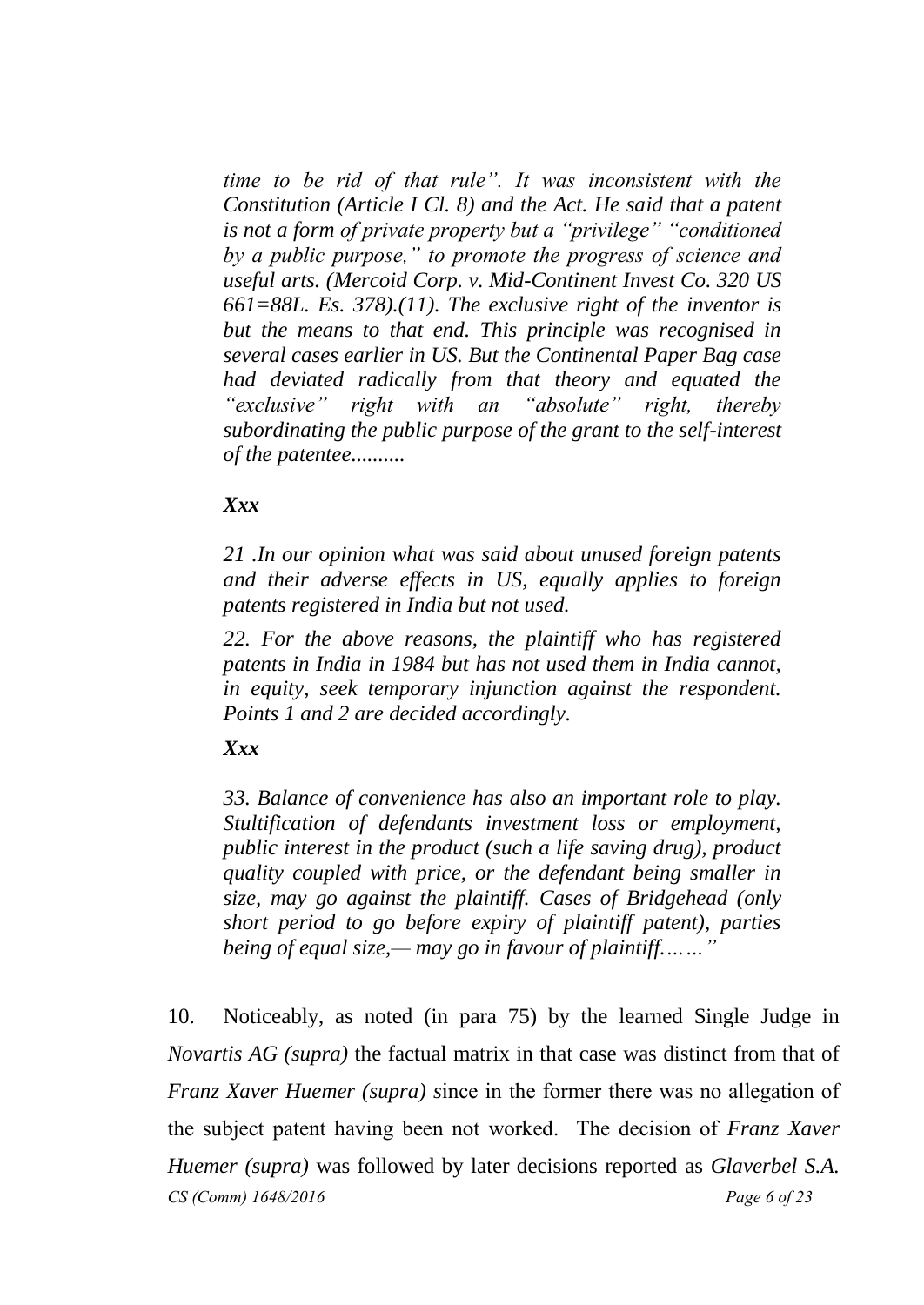*time to be rid of that rule". It was inconsistent with the Constitution (Article I Cl. 8) and the Act. He said that a patent is not a form of private property but a "privilege" "conditioned by a public purpose," to promote the progress of science and useful arts. (Mercoid Corp. v. Mid-Continent Invest Co. 320 US 661=88L. Es. 378).(11). The exclusive right of the inventor is but the means to that end. This principle was recognised in several cases earlier in US. But the Continental Paper Bag case had deviated radically from that theory and equated the "exclusive" right with an "absolute" right, thereby subordinating the public purpose of the grant to the self-interest of the patentee..........*

## *Xxx*

*21 .In our opinion what was said about unused foreign patents and their adverse effects in US, equally applies to foreign patents registered in India but not used.*

*22. For the above reasons, the plaintiff who has registered patents in India in 1984 but has not used them in India cannot, in equity, seek temporary injunction against the respondent. Points 1 and 2 are decided accordingly.*

## *Xxx*

*33. Balance of convenience has also an important role to play. Stultification of defendants investment loss or employment, public interest in the product (such a life saving drug), product quality coupled with price, or the defendant being smaller in size, may go against the plaintiff. Cases of Bridgehead (only short period to go before expiry of plaintiff patent), parties being of equal size,— may go in favour of plaintiff.……"*

*CS (Comm) 1648/2016 Page 6 of 23* 10. Noticeably, as noted (in para 75) by the learned Single Judge in *Novartis AG (supra)* the factual matrix in that case was distinct from that of *Franz Xaver Huemer (supra) s*ince in the former there was no allegation of the subject patent having been not worked. The decision of *Franz Xaver Huemer (supra)* was followed by later decisions reported as *Glaverbel S.A.*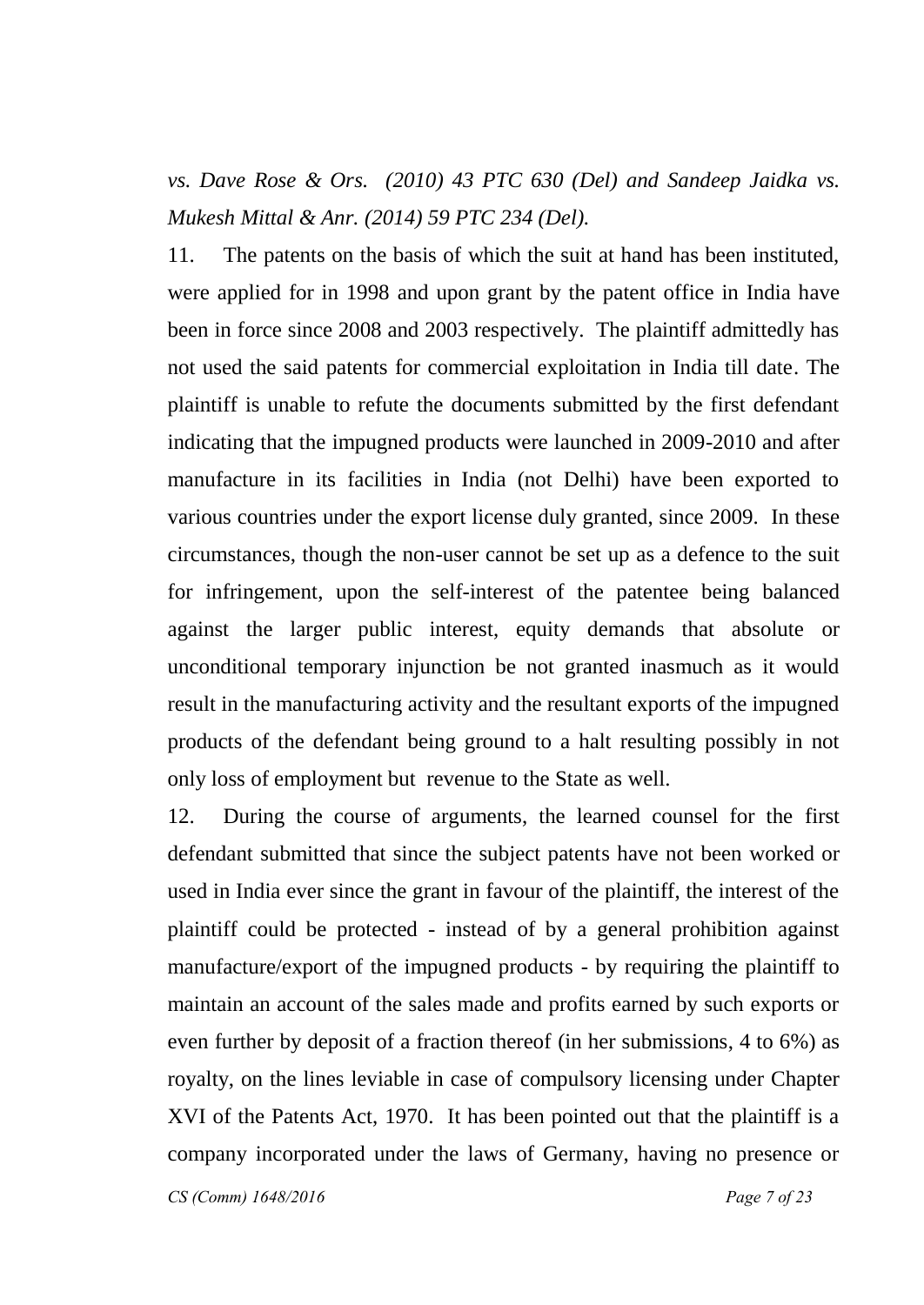*vs. Dave Rose & Ors. (2010) 43 PTC 630 (Del) and Sandeep Jaidka vs. Mukesh Mittal & Anr. (2014) 59 PTC 234 (Del).*

11. The patents on the basis of which the suit at hand has been instituted, were applied for in 1998 and upon grant by the patent office in India have been in force since 2008 and 2003 respectively. The plaintiff admittedly has not used the said patents for commercial exploitation in India till date. The plaintiff is unable to refute the documents submitted by the first defendant indicating that the impugned products were launched in 2009-2010 and after manufacture in its facilities in India (not Delhi) have been exported to various countries under the export license duly granted, since 2009. In these circumstances, though the non-user cannot be set up as a defence to the suit for infringement, upon the self-interest of the patentee being balanced against the larger public interest, equity demands that absolute or unconditional temporary injunction be not granted inasmuch as it would result in the manufacturing activity and the resultant exports of the impugned products of the defendant being ground to a halt resulting possibly in not only loss of employment but revenue to the State as well.

12. During the course of arguments, the learned counsel for the first defendant submitted that since the subject patents have not been worked or used in India ever since the grant in favour of the plaintiff, the interest of the plaintiff could be protected - instead of by a general prohibition against manufacture/export of the impugned products - by requiring the plaintiff to maintain an account of the sales made and profits earned by such exports or even further by deposit of a fraction thereof (in her submissions, 4 to 6%) as royalty, on the lines leviable in case of compulsory licensing under Chapter XVI of the Patents Act, 1970. It has been pointed out that the plaintiff is a company incorporated under the laws of Germany, having no presence or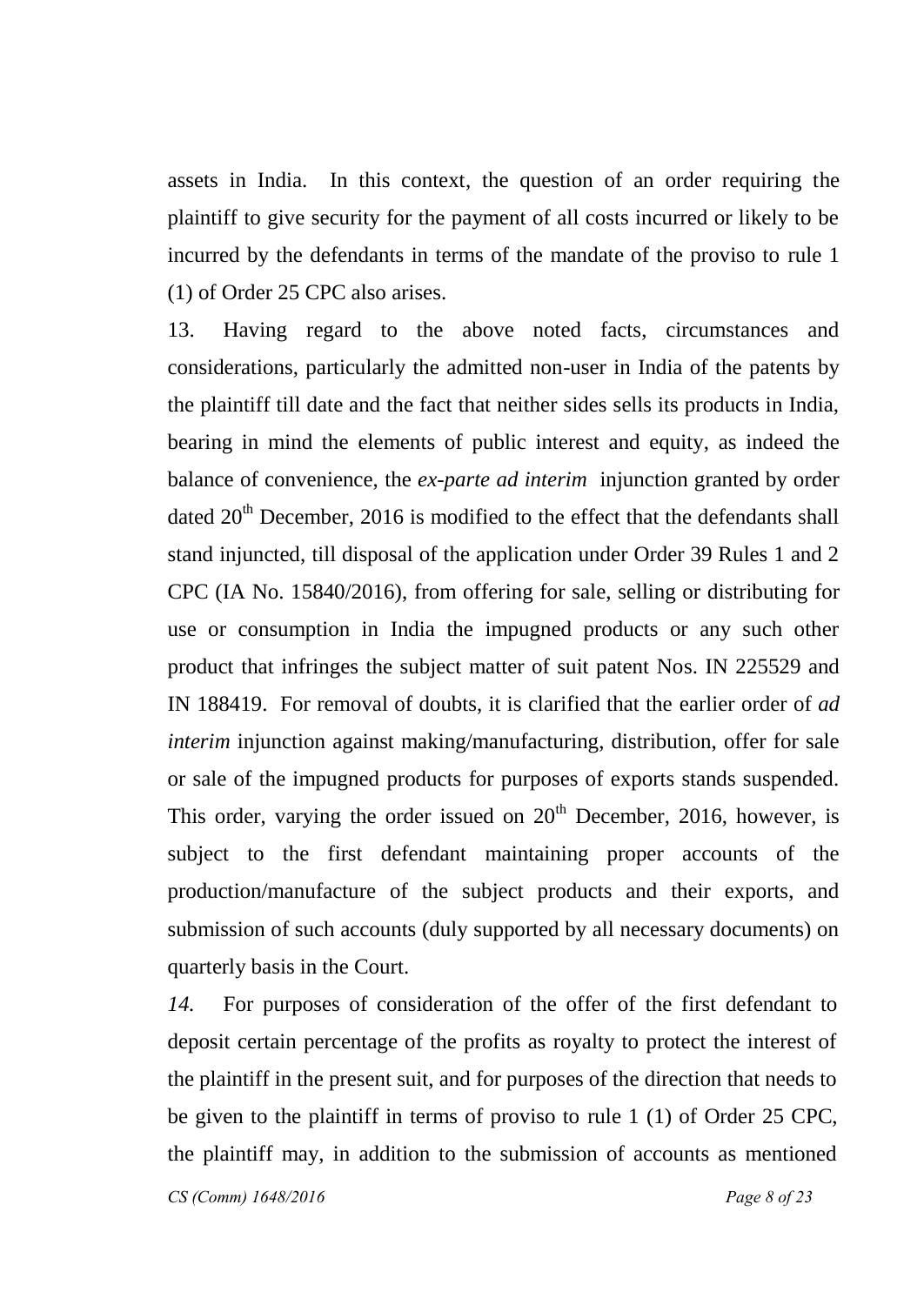assets in India. In this context, the question of an order requiring the plaintiff to give security for the payment of all costs incurred or likely to be incurred by the defendants in terms of the mandate of the proviso to rule 1 (1) of Order 25 CPC also arises.

13. Having regard to the above noted facts, circumstances and considerations, particularly the admitted non-user in India of the patents by the plaintiff till date and the fact that neither sides sells its products in India, bearing in mind the elements of public interest and equity, as indeed the balance of convenience, the *ex-parte ad interim* injunction granted by order dated  $20<sup>th</sup>$  December, 2016 is modified to the effect that the defendants shall stand injuncted, till disposal of the application under Order 39 Rules 1 and 2 CPC (IA No. 15840/2016), from offering for sale, selling or distributing for use or consumption in India the impugned products or any such other product that infringes the subject matter of suit patent Nos. IN 225529 and IN 188419. For removal of doubts, it is clarified that the earlier order of *ad interim* injunction against making/manufacturing, distribution, offer for sale or sale of the impugned products for purposes of exports stands suspended. This order, varying the order issued on  $20<sup>th</sup>$  December, 2016, however, is subject to the first defendant maintaining proper accounts of the production/manufacture of the subject products and their exports, and submission of such accounts (duly supported by all necessary documents) on quarterly basis in the Court.

*14.* For purposes of consideration of the offer of the first defendant to deposit certain percentage of the profits as royalty to protect the interest of the plaintiff in the present suit, and for purposes of the direction that needs to be given to the plaintiff in terms of proviso to rule 1 (1) of Order 25 CPC, the plaintiff may, in addition to the submission of accounts as mentioned